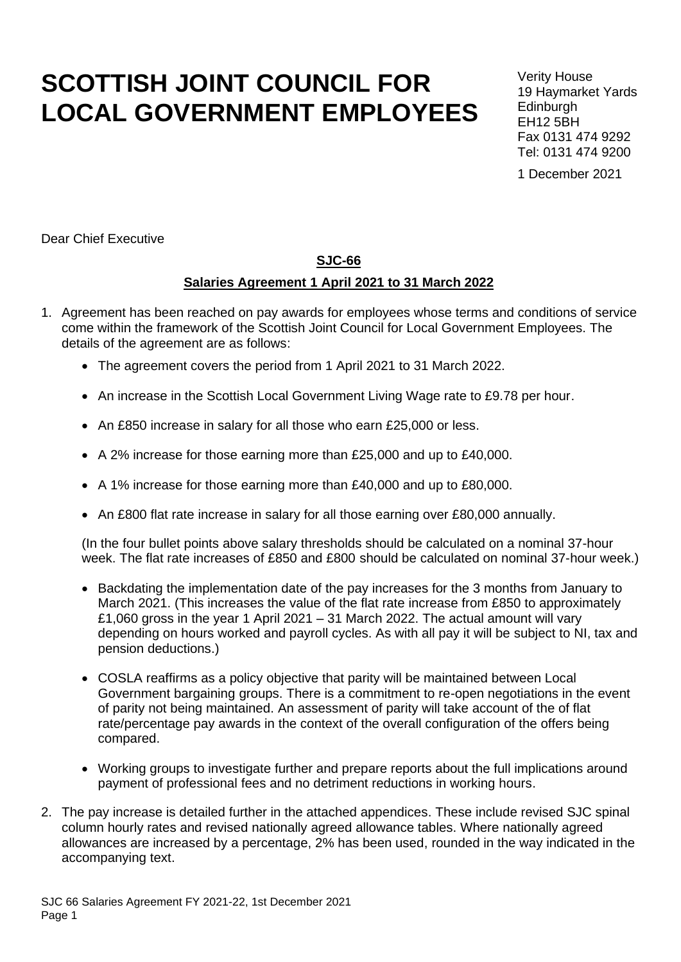# **SCOTTISH JOINT COUNCIL FOR LOCAL GOVERNMENT EMPLOYEES**

Verity House 19 Haymarket Yards **Edinburgh** EH12 5BH Fax 0131 474 9292 Tel: 0131 474 9200

1 December 2021

Dear Chief Executive

### **SJC-66**

#### **Salaries Agreement 1 April 2021 to 31 March 2022**

- 1. Agreement has been reached on pay awards for employees whose terms and conditions of service come within the framework of the Scottish Joint Council for Local Government Employees. The details of the agreement are as follows:
	- The agreement covers the period from 1 April 2021 to 31 March 2022.
	- An increase in the Scottish Local Government Living Wage rate to £9.78 per hour.
	- An £850 increase in salary for all those who earn £25,000 or less.
	- A 2% increase for those earning more than £25,000 and up to £40,000.
	- A 1% increase for those earning more than £40,000 and up to £80,000.
	- An £800 flat rate increase in salary for all those earning over £80,000 annually.

(In the four bullet points above salary thresholds should be calculated on a nominal 37-hour week. The flat rate increases of £850 and £800 should be calculated on nominal 37-hour week.)

- Backdating the implementation date of the pay increases for the 3 months from January to March 2021. (This increases the value of the flat rate increase from £850 to approximately £1,060 gross in the year 1 April 2021 – 31 March 2022. The actual amount will vary depending on hours worked and payroll cycles. As with all pay it will be subject to NI, tax and pension deductions.)
- COSLA reaffirms as a policy objective that parity will be maintained between Local Government bargaining groups. There is a commitment to re-open negotiations in the event of parity not being maintained. An assessment of parity will take account of the of flat rate/percentage pay awards in the context of the overall configuration of the offers being compared.
- Working groups to investigate further and prepare reports about the full implications around payment of professional fees and no detriment reductions in working hours.
- 2. The pay increase is detailed further in the attached appendices. These include revised SJC spinal column hourly rates and revised nationally agreed allowance tables. Where nationally agreed allowances are increased by a percentage, 2% has been used, rounded in the way indicated in the accompanying text.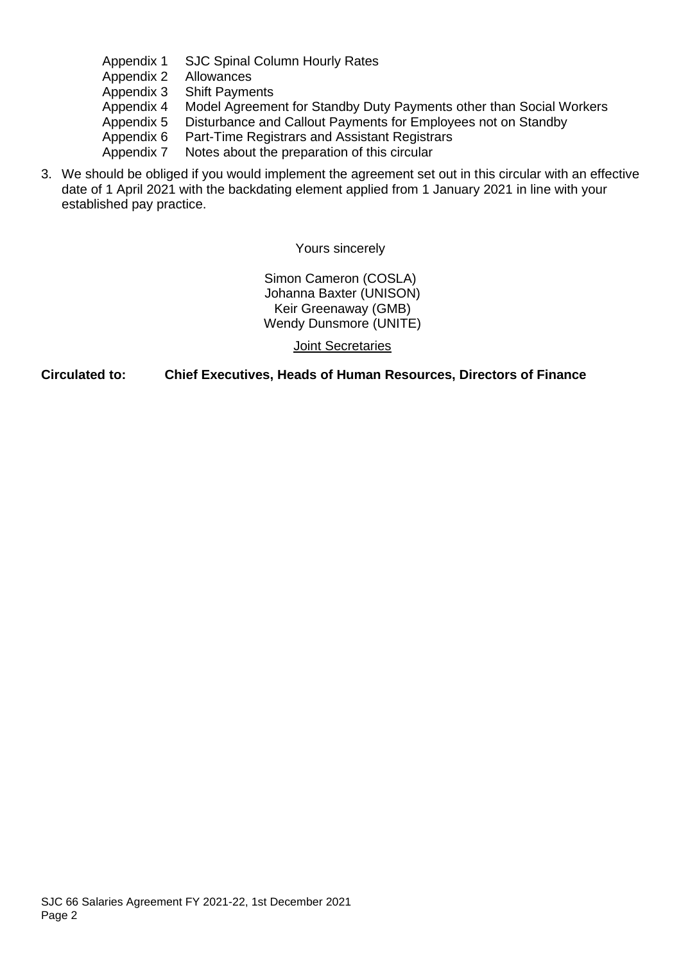- Appendix 1 SJC Spinal Column Hourly Rates
- Appendix 2 Allowances
- Appendix 3 Shift Payments
- Appendix 4 Model Agreement for Standby Duty Payments other than Social Workers
- Appendix 5 Disturbance and Callout Payments for Employees not on Standby
- Appendix 6 Part-Time Registrars and Assistant Registrars
- Appendix 7 Notes about the preparation of this circular
- 3. We should be obliged if you would implement the agreement set out in this circular with an effective date of 1 April 2021 with the backdating element applied from 1 January 2021 in line with your established pay practice.

Yours sincerely

Simon Cameron (COSLA) Johanna Baxter (UNISON) Keir Greenaway (GMB) Wendy Dunsmore (UNITE)

Joint Secretaries

**Circulated to: Chief Executives, Heads of Human Resources, Directors of Finance**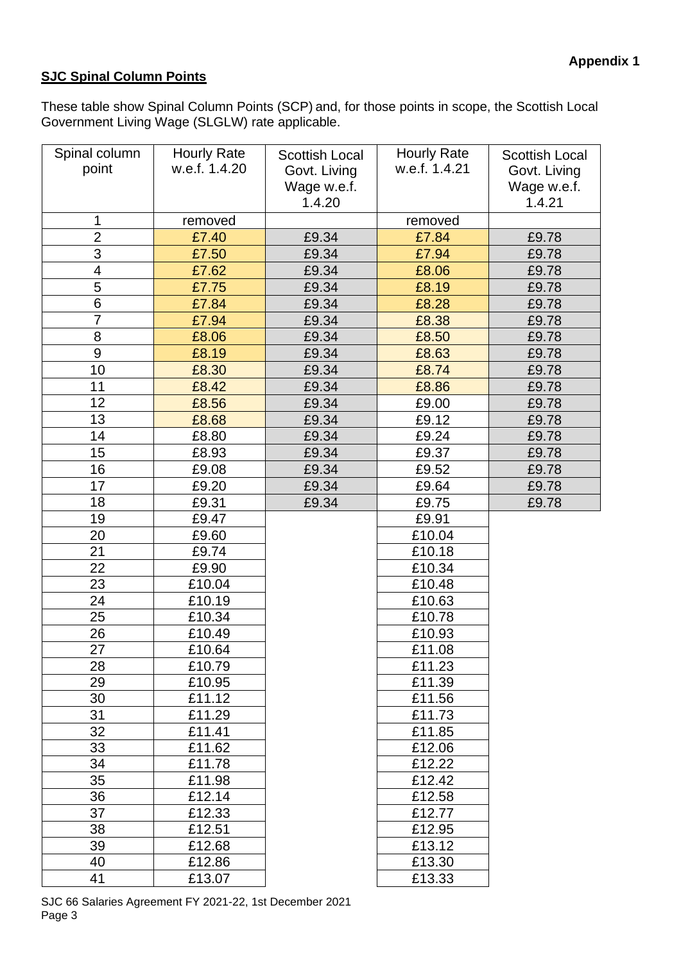## **SJC Spinal Column Points**

These table show Spinal Column Points (SCP) and, for those points in scope, the Scottish Local Government Living Wage (SLGLW) rate applicable.

| Spinal column<br>point  | <b>Hourly Rate</b><br>w.e.f. 1.4.20 | <b>Scottish Local</b><br>Govt. Living<br>Wage w.e.f.<br>1.4.20 | <b>Hourly Rate</b><br>w.e.f. 1.4.21 | <b>Scottish Local</b><br>Govt. Living<br>Wage w.e.f.<br>1.4.21 |
|-------------------------|-------------------------------------|----------------------------------------------------------------|-------------------------------------|----------------------------------------------------------------|
| 1                       | removed                             |                                                                | removed                             |                                                                |
| $\overline{2}$          | £7.40                               | £9.34                                                          | £7.84                               | £9.78                                                          |
| 3                       | £7.50                               | £9.34                                                          | £7.94                               | £9.78                                                          |
| $\overline{\mathbf{4}}$ | £7.62                               | £9.34                                                          | £8.06                               | £9.78                                                          |
| 5                       | £7.75                               | £9.34                                                          | £8.19                               | £9.78                                                          |
| 6                       | £7.84                               | £9.34                                                          | £8.28                               | £9.78                                                          |
| $\overline{7}$          | £7.94                               | £9.34                                                          | £8.38                               | £9.78                                                          |
| 8                       | £8.06                               | £9.34                                                          | £8.50                               | £9.78                                                          |
| 9                       | £8.19                               | £9.34                                                          | £8.63                               | £9.78                                                          |
| 10                      | £8.30                               | £9.34                                                          | £8.74                               | £9.78                                                          |
| 11                      | £8.42                               | £9.34                                                          | £8.86                               | £9.78                                                          |
| 12                      | £8.56                               | £9.34                                                          | £9.00                               | £9.78                                                          |
| 13                      | £8.68                               | £9.34                                                          | £9.12                               | £9.78                                                          |
| 14                      | £8.80                               | £9.34                                                          | £9.24                               | £9.78                                                          |
| 15                      | £8.93                               | £9.34                                                          | £9.37                               | £9.78                                                          |
| 16                      | £9.08                               | £9.34                                                          | £9.52                               | £9.78                                                          |
| 17                      | £9.20                               | £9.34                                                          | £9.64                               | £9.78                                                          |
| 18                      | £9.31                               | £9.34                                                          | £9.75                               | £9.78                                                          |
| 19                      | £9.47                               |                                                                | £9.91                               |                                                                |
| 20                      | £9.60                               |                                                                | £10.04                              |                                                                |
| 21                      | £9.74                               |                                                                | £10.18                              |                                                                |
| 22                      | £9.90                               |                                                                | £10.34                              |                                                                |
| 23                      | £10.04                              |                                                                | £10.48                              |                                                                |
| 24                      | £10.19                              |                                                                | £10.63                              |                                                                |
| 25                      | £10.34                              |                                                                | £10.78                              |                                                                |
| 26                      | £10.49                              |                                                                | £10.93                              |                                                                |
| 27                      | £10.64                              |                                                                | £11.08                              |                                                                |
| 28                      | £10.79                              |                                                                | £11.23                              |                                                                |
| 29                      | £10.95                              |                                                                | £11.39                              |                                                                |
| 30                      | £11.12                              |                                                                | £11.56                              |                                                                |
| 31                      | £11.29                              |                                                                | £11.73                              |                                                                |
| 32                      | £11.41                              |                                                                | £11.85                              |                                                                |
| 33                      | £11.62                              |                                                                | £12.06                              |                                                                |
| 34                      | £11.78                              |                                                                | £12.22                              |                                                                |
| 35                      | £11.98                              |                                                                | £12.42                              |                                                                |
| 36                      | £12.14                              |                                                                | £12.58                              |                                                                |
| 37                      | £12.33                              |                                                                | £12.77                              |                                                                |
| 38                      | £12.51                              |                                                                | £12.95                              |                                                                |
| 39                      | £12.68                              |                                                                | £13.12                              |                                                                |
| 40                      | £12.86                              |                                                                | £13.30                              |                                                                |
| 41                      | £13.07                              |                                                                | £13.33                              |                                                                |

SJC 66 Salaries Agreement FY 2021-22, 1st December 2021 Page 3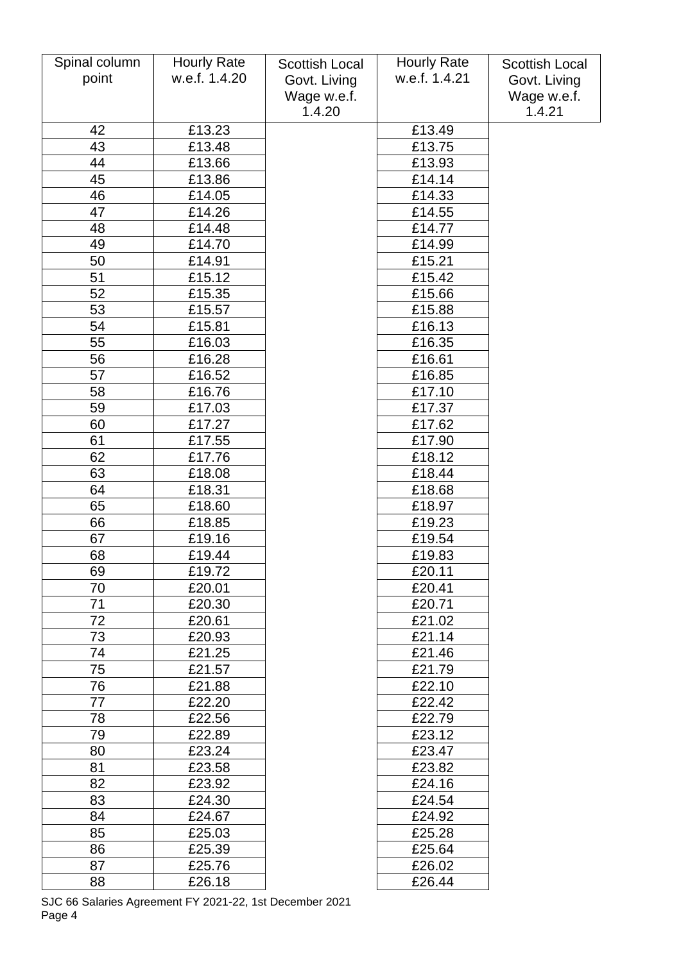| Spinal column | <b>Hourly Rate</b> | <b>Scottish Local</b> | <b>Hourly Rate</b> | <b>Scottish Local</b> |
|---------------|--------------------|-----------------------|--------------------|-----------------------|
| point         | w.e.f. 1.4.20      | Govt. Living          | w.e.f. 1.4.21      | Govt. Living          |
|               |                    | Wage w.e.f.           |                    | Wage w.e.f.           |
|               |                    | 1.4.20                |                    | 1.4.21                |
| 42            | £13.23             |                       | £13.49             |                       |
| 43            | £13.48             |                       | £13.75             |                       |
| 44            | £13.66             |                       | £13.93             |                       |
| 45            | £13.86             |                       | £14.14             |                       |
| 46            | £14.05             |                       | £14.33             |                       |
| 47            | £14.26             |                       | £14.55             |                       |
| 48            | £14.48             |                       | £14.77             |                       |
| 49            | £14.70             |                       | £14.99             |                       |
| 50            | £14.91             |                       | £15.21             |                       |
| 51            | £15.12             |                       | £15.42             |                       |
| 52            | £15.35             |                       | £15.66             |                       |
| 53            | £15.57             |                       | £15.88             |                       |
| 54            | £15.81             |                       | £16.13             |                       |
| 55            | £16.03             |                       | £16.35             |                       |
| 56            | £16.28             |                       | £16.61             |                       |
| 57            | £16.52             |                       | £16.85             |                       |
| 58            | £16.76             |                       | £17.10             |                       |
| 59            | £17.03             |                       | £17.37             |                       |
| 60            | £17.27             |                       | £17.62             |                       |
| 61            | £17.55             |                       | £17.90             |                       |
| 62            | £17.76             |                       | £18.12             |                       |
| 63            | £18.08             |                       | £18.44             |                       |
| 64            | £18.31             |                       | £18.68             |                       |
| 65            | £18.60             |                       | £18.97             |                       |
| 66            | £18.85             |                       | £19.23             |                       |
| 67            | £19.16             |                       | £19.54             |                       |
| 68            | £19.44             |                       | £19.83             |                       |
| 69            | £19.72             |                       | £20.11             |                       |
| 70            | £20.01             |                       | £20.41             |                       |
| 71            | £20.30             |                       | £20.71             |                       |
| 72            | £20.61             |                       | £21.02             |                       |
| 73            | £20.93             |                       | £21.14             |                       |
| 74            | £21.25             |                       | £21.46             |                       |
| 75            | £21.57             |                       | £21.79             |                       |
| 76            | £21.88             |                       | £22.10             |                       |
| 77            | £22.20             |                       | £22.42             |                       |
| 78            | £22.56             |                       | £22.79             |                       |
| 79            | £22.89             |                       | £23.12             |                       |
| 80            | £23.24             |                       | £23.47             |                       |
| 81            | £23.58             |                       | £23.82             |                       |
| 82            | £23.92             |                       | £24.16             |                       |
| 83            | £24.30             |                       | £24.54             |                       |
| 84            | £24.67             |                       | £24.92             |                       |
| 85            | £25.03             |                       | £25.28             |                       |
| 86            | £25.39             |                       | £25.64             |                       |
| 87            | £25.76             |                       | £26.02             |                       |
| 88            | £26.18             |                       | £26.44             |                       |

SJC 66 Salaries Agreement FY 2021-22, 1st December 2021 Page 4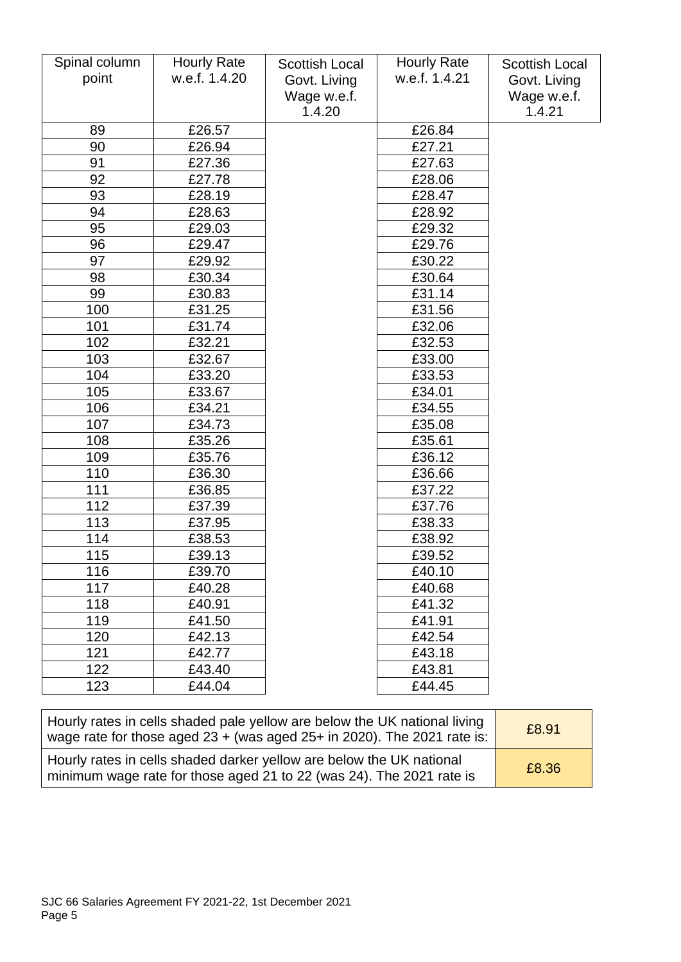| Spinal column | <b>Hourly Rate</b> | <b>Scottish Local</b> | <b>Hourly Rate</b>         | <b>Scottish Local</b> |
|---------------|--------------------|-----------------------|----------------------------|-----------------------|
| point         | w.e.f. 1.4.20      | Govt. Living          | w.e.f. 1.4.21              | Govt. Living          |
|               |                    | Wage w.e.f.           |                            | Wage w.e.f.           |
|               |                    | 1.4.20                |                            | 1.4.21                |
| 89            | £26.57             |                       | £26.84                     |                       |
| 90            | £26.94             |                       | £27.21                     |                       |
| 91            | £27.36             |                       | £27.63                     |                       |
| 92            | £27.78             |                       | £28.06                     |                       |
| 93            | £28.19             |                       | £28.47                     |                       |
| 94            | £28.63             |                       | £28.92                     |                       |
| 95            | £29.03             |                       | £29.32                     |                       |
| 96            | £29.47             |                       | £29.76                     |                       |
| 97            | £29.92             |                       | £30.22                     |                       |
| 98            | £30.34             |                       | £30.64                     |                       |
| 99            | £30.83             |                       | £31.14                     |                       |
| 100           | £31.25             |                       | £31.56                     |                       |
| 101           | £31.74             |                       | £32.06                     |                       |
| 102           | £32.21             |                       | £32.53                     |                       |
| 103           | £32.67             |                       | £33.00                     |                       |
| 104           | £33.20             |                       | £33.53                     |                       |
| 105           | £33.67             |                       | £34.01                     |                       |
| 106           | £34.21             |                       | £34.55                     |                       |
| 107           | £34.73             |                       | £35.08                     |                       |
| 108           | £35.26             |                       | £35.61                     |                       |
| 109           | £35.76             |                       | £36.12                     |                       |
| 110           | £36.30             |                       | £36.66                     |                       |
| 111           | £36.85             |                       | £37.22                     |                       |
| 112           | £37.39             |                       | £37.76                     |                       |
| 113           | £37.95             |                       | £38.33                     |                       |
| 114           | £38.53             |                       | £38.92                     |                       |
| 115           | £39.13             |                       | £39.52                     |                       |
| 116           | £39.70             |                       | $\overline{\text{£}}40.10$ |                       |
| 117           | £40.28             |                       | £40.68                     |                       |
| 118           | £40.91             |                       | £41.32                     |                       |
| 119           | £41.50             |                       | £41.91                     |                       |
| 120           | £42.13             |                       | £42.54                     |                       |
| 121           | £42.77             |                       | £43.18                     |                       |
| 122           | £43.40             |                       | £43.81                     |                       |
| 123           | £44.04             |                       | £44.45                     |                       |

| Hourly rates in cells shaded pale yellow are below the UK national living<br>wage rate for those aged 23 + (was aged 25+ in 2020). The 2021 rate is: | £8.91 |
|------------------------------------------------------------------------------------------------------------------------------------------------------|-------|
| Hourly rates in cells shaded darker yellow are below the UK national<br>minimum wage rate for those aged 21 to 22 (was 24). The 2021 rate is         | £8.36 |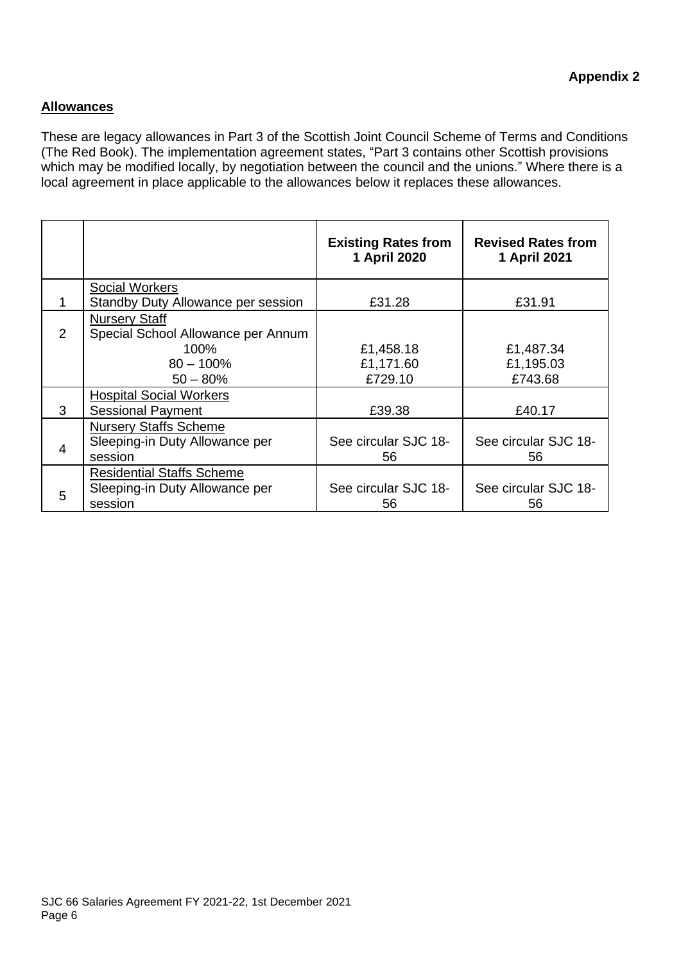#### **Allowances**

These are legacy allowances in Part 3 of the Scottish Joint Council Scheme of Terms and Conditions (The Red Book). The implementation agreement states, "Part 3 contains other Scottish provisions which may be modified locally, by negotiation between the council and the unions." Where there is a local agreement in place applicable to the allowances below it replaces these allowances.

|                |                                                            | <b>Existing Rates from</b><br>1 April 2020 | <b>Revised Rates from</b><br>1 April 2021 |
|----------------|------------------------------------------------------------|--------------------------------------------|-------------------------------------------|
|                | <b>Social Workers</b>                                      |                                            |                                           |
|                | Standby Duty Allowance per session                         | £31.28                                     | £31.91                                    |
| $\overline{2}$ | <b>Nursery Staff</b><br>Special School Allowance per Annum |                                            |                                           |
|                | 100%                                                       | £1,458.18                                  | £1,487.34                                 |
|                | $80 - 100\%$                                               | £1,171.60                                  | £1,195.03                                 |
|                | $50 - 80%$                                                 | £729.10                                    | £743.68                                   |
|                | <b>Hospital Social Workers</b>                             |                                            |                                           |
| 3              | <b>Sessional Payment</b>                                   | £39.38                                     | £40.17                                    |
|                | <b>Nursery Staffs Scheme</b>                               |                                            |                                           |
| $\overline{4}$ | Sleeping-in Duty Allowance per                             | See circular SJC 18-                       | See circular SJC 18-                      |
|                | session                                                    | 56                                         | 56                                        |
|                | <b>Residential Staffs Scheme</b>                           |                                            |                                           |
| 5              | Sleeping-in Duty Allowance per                             | See circular SJC 18-                       | See circular SJC 18-                      |
|                | session                                                    | 56                                         | 56                                        |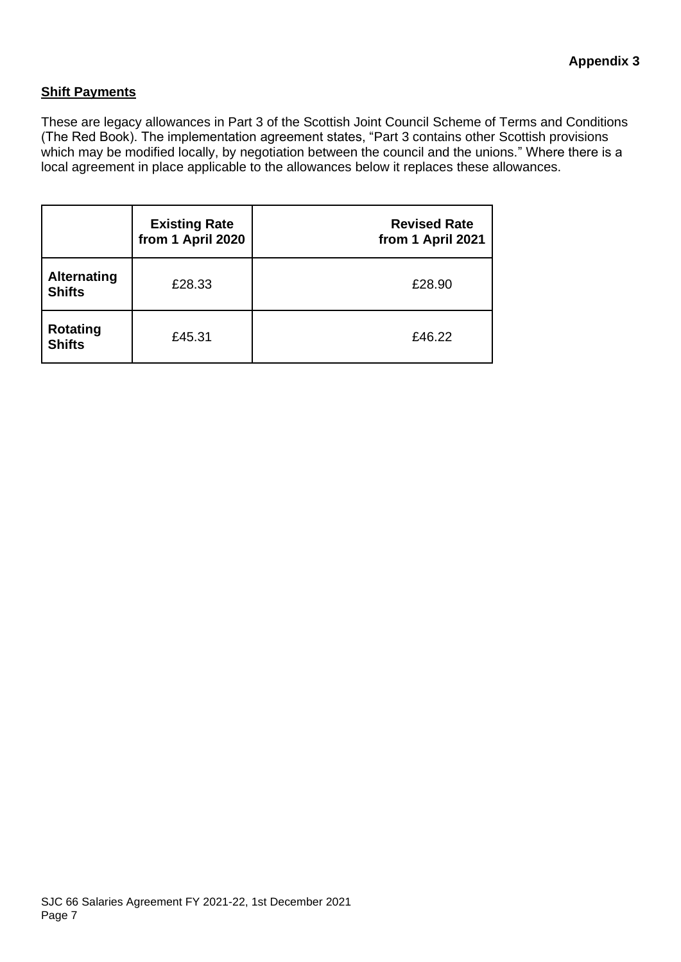#### **Shift Payments**

These are legacy allowances in Part 3 of the Scottish Joint Council Scheme of Terms and Conditions (The Red Book). The implementation agreement states, "Part 3 contains other Scottish provisions which may be modified locally, by negotiation between the council and the unions." Where there is a local agreement in place applicable to the allowances below it replaces these allowances.

|                                     | <b>Existing Rate</b><br>from 1 April 2020 | <b>Revised Rate</b><br>from 1 April 2021 |
|-------------------------------------|-------------------------------------------|------------------------------------------|
| <b>Alternating</b><br><b>Shifts</b> | £28.33                                    | £28.90                                   |
| <b>Rotating</b><br><b>Shifts</b>    | £45.31                                    | £46.22                                   |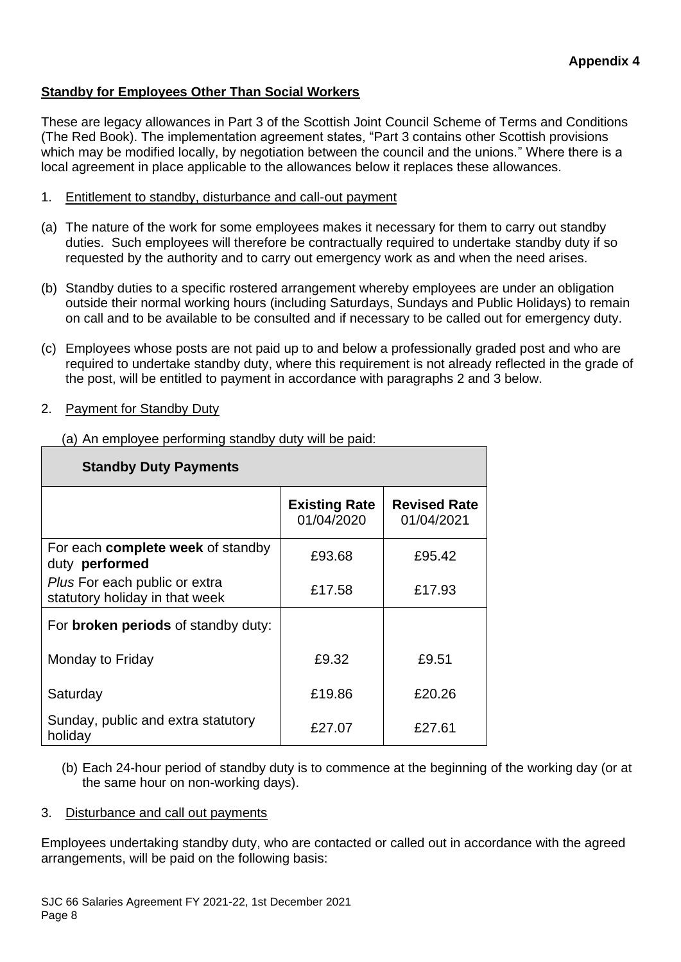#### **Standby for Employees Other Than Social Workers**

These are legacy allowances in Part 3 of the Scottish Joint Council Scheme of Terms and Conditions (The Red Book). The implementation agreement states, "Part 3 contains other Scottish provisions which may be modified locally, by negotiation between the council and the unions." Where there is a local agreement in place applicable to the allowances below it replaces these allowances.

- 1. Entitlement to standby, disturbance and call-out payment
- (a) The nature of the work for some employees makes it necessary for them to carry out standby duties. Such employees will therefore be contractually required to undertake standby duty if so requested by the authority and to carry out emergency work as and when the need arises.
- (b) Standby duties to a specific rostered arrangement whereby employees are under an obligation outside their normal working hours (including Saturdays, Sundays and Public Holidays) to remain on call and to be available to be consulted and if necessary to be called out for emergency duty.
- (c) Employees whose posts are not paid up to and below a professionally graded post and who are required to undertake standby duty, where this requirement is not already reflected in the grade of the post, will be entitled to payment in accordance with paragraphs 2 and 3 below.
- 2. Payment for Standby Duty

| <b>Standby Duty Payments</b>                                    |                                    |                                   |  |
|-----------------------------------------------------------------|------------------------------------|-----------------------------------|--|
|                                                                 | <b>Existing Rate</b><br>01/04/2020 | <b>Revised Rate</b><br>01/04/2021 |  |
| For each complete week of standby<br>duty performed             | £93.68                             | £95.42                            |  |
| Plus For each public or extra<br>statutory holiday in that week | £17.58                             | £17.93                            |  |
| For broken periods of standby duty:                             |                                    |                                   |  |
| Monday to Friday                                                | £9.32                              | £9.51                             |  |
| Saturday                                                        | £19.86                             | £20.26                            |  |
| Sunday, public and extra statutory<br>holiday                   | £27.07                             | £27.61                            |  |

(a) An employee performing standby duty will be paid:

(b) Each 24-hour period of standby duty is to commence at the beginning of the working day (or at the same hour on non-working days).

#### 3. Disturbance and call out payments

Employees undertaking standby duty, who are contacted or called out in accordance with the agreed arrangements, will be paid on the following basis: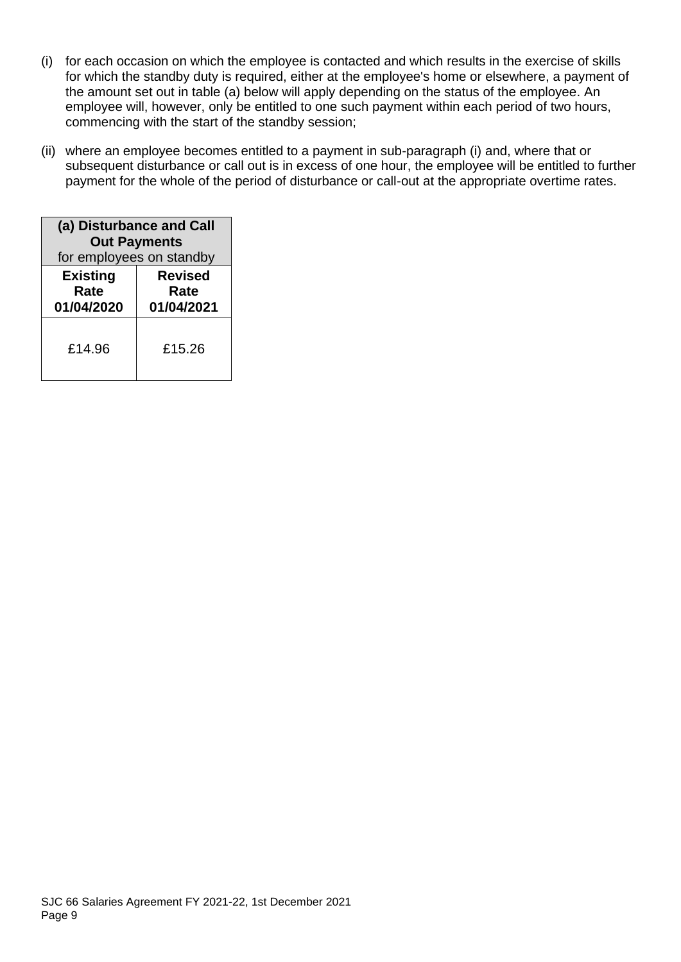- (i) for each occasion on which the employee is contacted and which results in the exercise of skills for which the standby duty is required, either at the employee's home or elsewhere, a payment of the amount set out in table (a) below will apply depending on the status of the employee. An employee will, however, only be entitled to one such payment within each period of two hours, commencing with the start of the standby session;
- (ii) where an employee becomes entitled to a payment in sub-paragraph (i) and, where that or subsequent disturbance or call out is in excess of one hour, the employee will be entitled to further payment for the whole of the period of disturbance or call-out at the appropriate overtime rates.

| (a) Disturbance and Call<br><b>Out Payments</b><br>for employees on standby |                                      |  |  |
|-----------------------------------------------------------------------------|--------------------------------------|--|--|
| <b>Existing</b><br>Rate<br>01/04/2020                                       | <b>Revised</b><br>Rate<br>01/04/2021 |  |  |
| £14.96                                                                      | £15.26                               |  |  |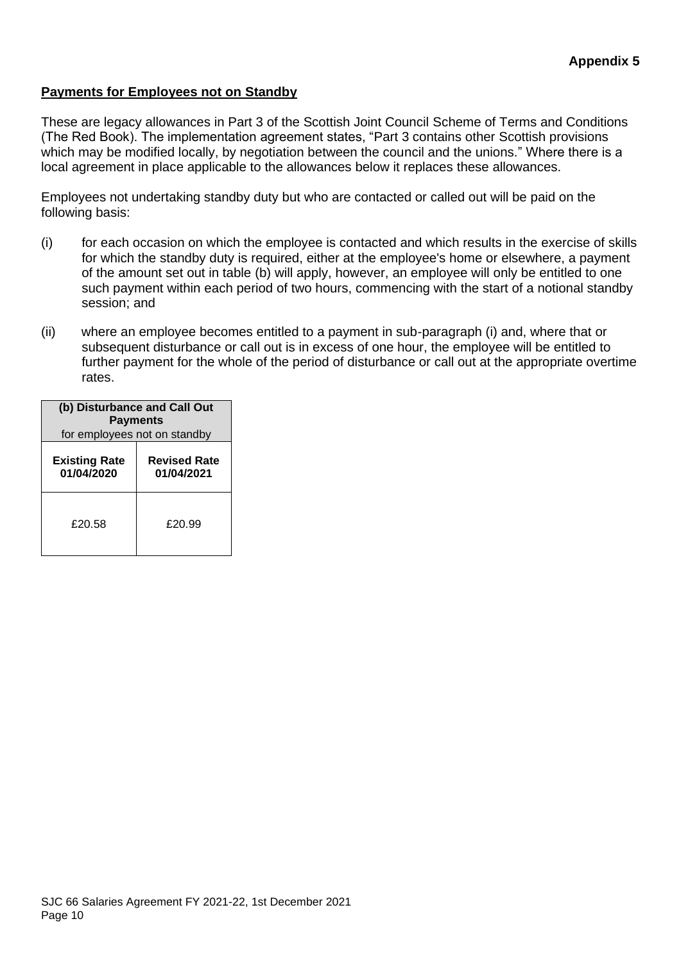#### **Payments for Employees not on Standby**

These are legacy allowances in Part 3 of the Scottish Joint Council Scheme of Terms and Conditions (The Red Book). The implementation agreement states, "Part 3 contains other Scottish provisions which may be modified locally, by negotiation between the council and the unions." Where there is a local agreement in place applicable to the allowances below it replaces these allowances.

Employees not undertaking standby duty but who are contacted or called out will be paid on the following basis:

- (i) for each occasion on which the employee is contacted and which results in the exercise of skills for which the standby duty is required, either at the employee's home or elsewhere, a payment of the amount set out in table (b) will apply, however, an employee will only be entitled to one such payment within each period of two hours, commencing with the start of a notional standby session; and
- (ii) where an employee becomes entitled to a payment in sub-paragraph (i) and, where that or subsequent disturbance or call out is in excess of one hour, the employee will be entitled to further payment for the whole of the period of disturbance or call out at the appropriate overtime rates.

| (b) Disturbance and Call Out<br><b>Payments</b><br>for employees not on standby |        |  |  |
|---------------------------------------------------------------------------------|--------|--|--|
| <b>Existing Rate</b><br><b>Revised Rate</b><br>01/04/2020<br>01/04/2021         |        |  |  |
| £20.58                                                                          | £20.99 |  |  |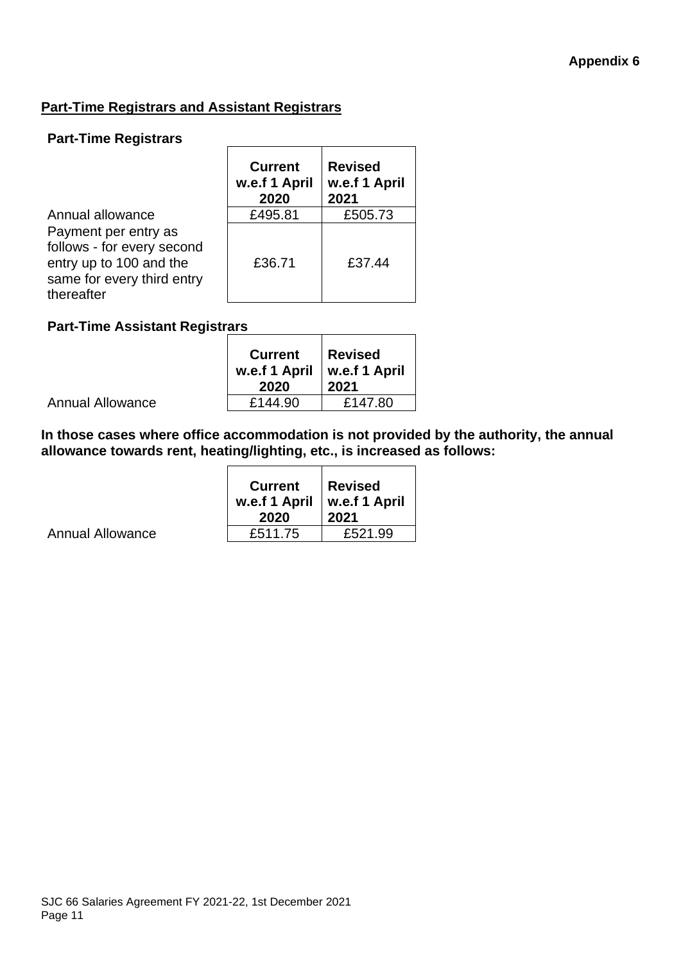#### **Part-Time Registrars and Assistant Registrars**

#### **Part-Time Registrars**

|                                                                                                                           | <b>Current</b><br>w.e.f 1 April<br>2020 | <b>Revised</b><br>w.e.f 1 April<br>2021 |
|---------------------------------------------------------------------------------------------------------------------------|-----------------------------------------|-----------------------------------------|
| Annual allowance                                                                                                          | £495.81                                 | £505.73                                 |
| Payment per entry as<br>follows - for every second<br>entry up to 100 and the<br>same for every third entry<br>thereafter | £36.71                                  | £37.44                                  |

### **Part-Time Assistant Registrars**

| <b>Current</b><br>w.e.f 1 April<br>2020 | <b>Revised</b><br>w.e.f 1 April<br>2021 |
|-----------------------------------------|-----------------------------------------|
| £144.90                                 | £147.80                                 |

**In those cases where office accommodation is not provided by the authority, the annual allowance towards rent, heating/lighting, etc., is increased as follows:**

|                  | <b>Current</b><br>w.e.f 1 April   w.e.f 1 April<br>2020 | <b>∣Revised</b><br>2021 |
|------------------|---------------------------------------------------------|-------------------------|
| Annual Allowance | £511.75                                                 | £521.99                 |

Annual Allowance